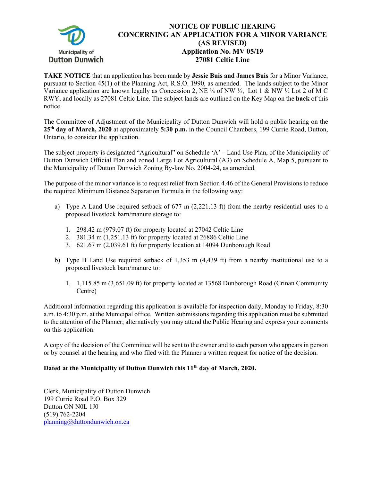

## **NOTICE OF PUBLIC HEARING CONCERNING AN APPLICATION FOR A MINOR VARIANCE (AS REVISED) Application No. MV 05/19 27081 Celtic Line**

**TAKE NOTICE** that an application has been made by **Jessie Buis and James Buis** for a Minor Variance, pursuant to Section 45(1) of the Planning Act, R.S.O. 1990, as amended. The lands subject to the Minor Variance application are known legally as Concession 2, NE  $\frac{1}{4}$  of NW  $\frac{1}{2}$ , Lot 1 & NW  $\frac{1}{2}$  Lot 2 of M C RWY, and locally as 27081 Celtic Line. The subject lands are outlined on the Key Map on the **back** of this notice.

The Committee of Adjustment of the Municipality of Dutton Dunwich will hold a public hearing on the **25th day of March, 2020** at approximately **5:30 p.m.** in the Council Chambers, 199 Currie Road, Dutton, Ontario, to consider the application.

The subject property is designated "Agricultural" on Schedule 'A' – Land Use Plan, of the Municipality of Dutton Dunwich Official Plan and zoned Large Lot Agricultural (A3) on Schedule A, Map 5, pursuant to the Municipality of Dutton Dunwich Zoning By-law No. 2004-24, as amended.

The purpose of the minor variance is to request relief from Section 4.46 of the General Provisions to reduce the required Minimum Distance Separation Formula in the following way:

- a) Type A Land Use required setback of 677 m (2,221.13 ft) from the nearby residential uses to a proposed livestock barn/manure storage to:
	- 1. 298.42 m (979.07 ft) for property located at 27042 Celtic Line
	- 2. 381.34 m (1,251.13 ft) for property located at 26886 Celtic Line
	- 3. 621.67 m (2,039.61 ft) for property location at 14094 Dunborough Road
- b) Type B Land Use required setback of 1,353 m (4,439 ft) from a nearby institutional use to a proposed livestock barn/manure to:
	- 1. 1,115.85 m (3,651.09 ft) for property located at 13568 Dunborough Road (Crinan Community Centre)

Additional information regarding this application is available for inspection daily, Monday to Friday, 8:30 a.m. to 4:30 p.m. at the Municipal office. Written submissions regarding this application must be submitted to the attention of the Planner; alternatively you may attend the Public Hearing and express your comments on this application.

A copy of the decision of the Committee will be sent to the owner and to each person who appears in person or by counsel at the hearing and who filed with the Planner a written request for notice of the decision.

## **Dated at the Municipality of Dutton Dunwich this 11th day of March, 2020.**

Clerk, Municipality of Dutton Dunwich 199 Currie Road P.O. Box 329 Dutton ON N0L 1J0 (519) 762-2204 planning@duttondunwich.on.ca